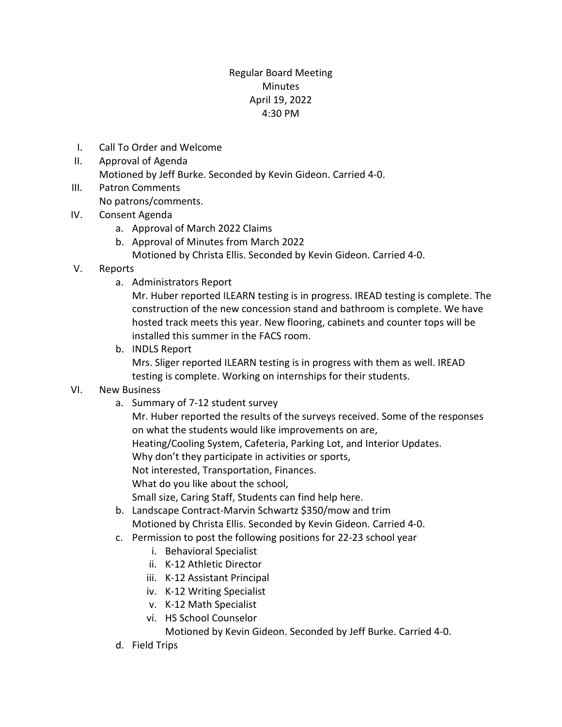## Regular Board Meeting **Minutes** April 19, 2022 4:30 PM

- I. Call To Order and Welcome
- II. Approval of Agenda Motioned by Jeff Burke. Seconded by Kevin Gideon. Carried 4-0.
- III. Patron Comments No patrons/comments.
- IV. Consent Agenda
	- a. Approval of March 2022 Claims
	- b. Approval of Minutes from March 2022
		- Motioned by Christa Ellis. Seconded by Kevin Gideon. Carried 4-0.
- V. Reports
	- a. Administrators Report

Mr. Huber reported ILEARN testing is in progress. IREAD testing is complete. The construction of the new concession stand and bathroom is complete. We have hosted track meets this year. New flooring, cabinets and counter tops will be installed this summer in the FACS room.

- b. INDLS Report Mrs. Sliger reported ILEARN testing is in progress with them as well. IREAD testing is complete. Working on internships for their students.
- VI. New Business
	- a. Summary of 7-12 student survey

Mr. Huber reported the results of the surveys received. Some of the responses on what the students would like improvements on are, Heating/Cooling System, Cafeteria, Parking Lot, and Interior Updates. Why don't they participate in activities or sports, Not interested, Transportation, Finances. What do you like about the school, Small size, Caring Staff, Students can find help here.

- b. Landscape Contract-Marvin Schwartz \$350/mow and trim Motioned by Christa Ellis. Seconded by Kevin Gideon. Carried 4-0.
- c. Permission to post the following positions for 22-23 school year
	- i. Behavioral Specialist
	- ii. K-12 Athletic Director
	- iii. K-12 Assistant Principal
	- iv. K-12 Writing Specialist
	- v. K-12 Math Specialist
	- vi. HS School Counselor

Motioned by Kevin Gideon. Seconded by Jeff Burke. Carried 4-0.

d. Field Trips